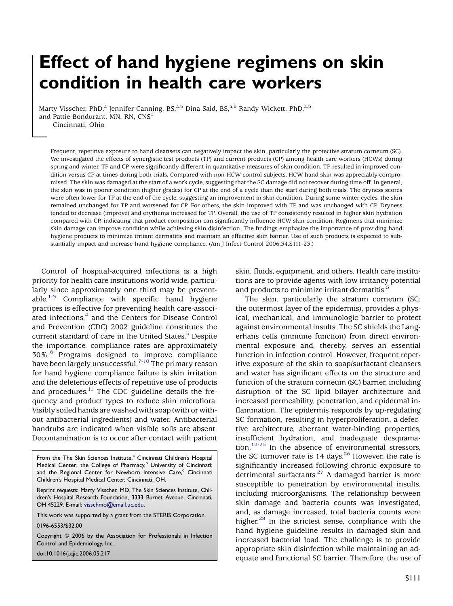# Effect of hand hygiene regimens on skin condition in health care workers

Marty Visscher, PhD,<sup>a</sup> Jennifer Canning, BS,<sup>a,b</sup> Dina Said, BS,<sup>a,b</sup> Randy Wickett, PhD,<sup>a,b</sup> and Pattie Bondurant, MN, RN, CNS<sup>c</sup> Cincinnati, Ohio

Frequent, repetitive exposure to hand cleansers can negatively impact the skin, particularly the protective stratum corneum (SC). We investigated the effects of synergistic test products (TP) and current products (CP) among health care workers (HCWs) during spring and winter. TP and CP were significantly different in quantitative measures of skin condition. TP resulted in improved condition versus CP at times during both trials. Compared with non-HCW control subjects, HCW hand skin was appreciably compromised. The skin was damaged at the start of a work cycle, suggesting that the SC damage did not recover during time off. In general, the skin was in poorer condition (higher grades) for CP at the end of a cycle than the start during both trials. The dryness scores were often lower for TP at the end of the cycle, suggesting an improvement in skin condition. During some winter cycles, the skin remained unchanged for TP and worsened for CP. For others, the skin improved with TP and was unchanged with CP. Dryness tended to decrease (improve) and erythema increased for TP. Overall, the use of TP consistently resulted in higher skin hydration compared with CP, indicating that product composition can significantly influence HCW skin condition. Regimens that minimize skin damage can improve condition while achieving skin disinfection. The findings emphasize the importance of providing hand hygiene products to minimize irritant dermatitis and maintain an effective skin barrier. Use of such products is expected to substantially impact and increase hand hygiene compliance. (Am J Infect Control 2006;34:S111-23.)

Control of hospital-acquired infections is a high priority for health care institutions world wide, particularly since approximately one third may be preventable. $1-3$  Compliance with specific hand hygiene practices is effective for preventing health care-associated infections, $4$  and the Centers for Disease Control and Prevention (CDC) 2002 guideline constitutes the current standard of care in the United States.<sup>[5](#page-11-0)</sup> Despite the importance, compliance rates are approximately 30%.[6](#page-11-0) Programs designed to improve compliance have been largely unsuccessful.<sup>[7-10](#page-11-0)</sup> The primary reason for hand hygiene compliance failure is skin irritation and the deleterious effects of repetitive use of products and procedures. $11$  The CDC guideline details the frequency and product types to reduce skin microflora. Visibly soiled hands are washed with soap (with or without antibacterial ingredients) and water. Antibacterial handrubs are indicated when visible soils are absent. Decontamination is to occur after contact with patient

This work was supported by a grant from the STERIS Corporation.

0196-6553/\$32.00

Copyright © 2006 by the Association for Professionals in Infection Control and Epidemiology, Inc.

doi:10.1016/j.ajic.2006.05.217

skin, fluids, equipment, and others. Health care institutions are to provide agents with low irritancy potential and products to minimize irritant dermatitis.<sup>[5](#page-11-0)</sup>

The skin, particularly the stratum corneum (SC; the outermost layer of the epidermis), provides a physical, mechanical, and immunologic barrier to protect against environmental insults. The SC shields the Langerhans cells (immune function) from direct environmental exposure and, thereby, serves an essential function in infection control. However, frequent repetitive exposure of the skin to soap/surfactant cleansers and water has significant effects on the structure and function of the stratum corneum (SC) barrier, including disruption of the SC lipid bilayer architecture and increased permeability, penetration, and epidermal inflammation. The epidermis responds by up-regulating SC formation, resulting in hyperproliferation, a defective architecture, aberrant water-binding properties, insufficient hydration, and inadequate desquamation[.12-25](#page-12-0) In the absence of environmental stressors, the SC turnover rate is 14 days.<sup>[26](#page-12-0)</sup> However, the rate is significantly increased following chronic exposure to detrimental surfactants.[27](#page-12-0) A damaged barrier is more susceptible to penetration by environmental insults, including microorganisms. The relationship between skin damage and bacteria counts was investigated, and, as damage increased, total bacteria counts were higher.<sup>[28](#page-12-0)</sup> In the strictest sense, compliance with the hand hygiene guideline results in damaged skin and increased bacterial load. The challenge is to provide appropriate skin disinfection while maintaining an adequate and functional SC barrier. Therefore, the use of

From the The Skin Sciences Institute,<sup>a</sup> Cincinnati Children's Hospital Medical Center; the College of Pharmacy,<sup>b</sup> University of Cincinnati; and the Regional Center for Newborn Intensive Care,<sup>c</sup> Cincinnati Children's Hospital Medical Center, Cincinnati, OH.

Reprint requests: Marty Visscher, MD, The Skin Sciences Institute, Children's Hospital Research Foundation, 3333 Burnet Avenue, Cincinnati, OH 45229. E-mail: [visschmo@email.uc.edu.](mailto:visschmo@email.uc.edu)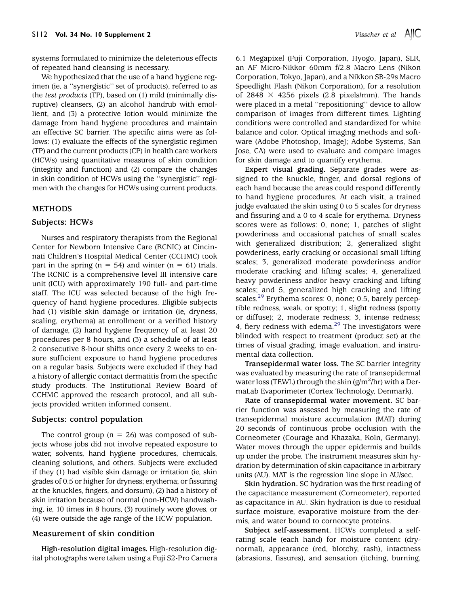systems formulated to minimize the deleterious effects of repeated hand cleansing is necessary.

We hypothesized that the use of a hand hygiene regimen (ie, a ''synergistic'' set of products), referred to as the test products (TP), based on (1) mild (minimally disruptive) cleansers, (2) an alcohol handrub with emollient, and (3) a protective lotion would minimize the damage from hand hygiene procedures and maintain an effective SC barrier. The specific aims were as follows: (1) evaluate the effects of the synergistic regimen (TP) and the current products (CP) in health care workers (HCWs) using quantitative measures of skin condition (integrity and function) and (2) compare the changes in skin condition of HCWs using the ''synergistic'' regimen with the changes for HCWs using current products.

## METHODS

# Subjects: HCWs

Nurses and respiratory therapists from the Regional Center for Newborn Intensive Care (RCNIC) at Cincinnati Children's Hospital Medical Center (CCHMC) took part in the spring ( $n = 54$ ) and winter ( $n = 61$ ) trials. The RCNIC is a comprehensive level III intensive care unit (ICU) with approximately 190 full- and part-time staff. The ICU was selected because of the high frequency of hand hygiene procedures. Eligible subjects had (1) visible skin damage or irritation (ie, dryness, scaling, erythema) at enrollment or a verified history of damage, (2) hand hygiene frequency of at least 20 procedures per 8 hours, and (3) a schedule of at least 2 consecutive 8-hour shifts once every 2 weeks to ensure sufficient exposure to hand hygiene procedures on a regular basis. Subjects were excluded if they had a history of allergic contact dermatitis from the specific study products. The Institutional Review Board of CCHMC approved the research protocol, and all subjects provided written informed consent.

## Subjects: control population

The control group ( $n = 26$ ) was composed of subjects whose jobs did not involve repeated exposure to water, solvents, hand hygiene procedures, chemicals, cleaning solutions, and others. Subjects were excluded if they (1) had visible skin damage or irritation (ie, skin grades of 0.5 or higher for dryness; erythema; or fissuring at the knuckles, fingers, and dorsum), (2) had a history of skin irritation because of normal (non-HCW) handwashing, ie, 10 times in 8 hours, (3) routinely wore gloves, or (4) were outside the age range of the HCW population.

# Measurement of skin condition

High-resolution digital images. High-resolution digital photographs were taken using a Fuji S2-Pro Camera 6.1 Megapixel (Fuji Corporation, Hyogo, Japan), SLR, an AF Micro-Nikkor 60mm f/2.8 Macro Lens (Nikon Corporation, Tokyo, Japan), and a Nikkon SB-29s Macro Speedlight Flash (Nikon Corporation), for a resolution of 2848  $\times$  4256 pixels (2.8 pixels/mm). The hands were placed in a metal ''repositioning'' device to allow comparison of images from different times. Lighting conditions were controlled and standardized for white balance and color. Optical imaging methods and software (Adobe Photoshop, ImageJ; Adobe Systems, San Jose, CA) were used to evaluate and compare images for skin damage and to quantify erythema.

Expert visual grading. Separate grades were assigned to the knuckle, finger, and dorsal regions of each hand because the areas could respond differently to hand hygiene procedures. At each visit, a trained judge evaluated the skin using 0 to 5 scales for dryness and fissuring and a 0 to 4 scale for erythema. Dryness scores were as follows: 0, none; 1, patches of slight powderiness and occasional patches of small scales with generalized distribution; 2, generalized slight powderiness, early cracking or occasional small lifting scales; 3, generalized moderate powderiness and/or moderate cracking and lifting scales; 4, generalized heavy powderiness and/or heavy cracking and lifting scales; and 5, generalized high cracking and lifting scales.<sup>[29](#page-12-0)</sup> Erythema scores: 0, none; 0.5, barely perceptible redness, weak, or spotty; 1, slight redness (spotty or diffuse); 2, moderate redness; 3, intense redness; 4, fiery redness with edema. $^{29}$  $^{29}$  $^{29}$  The investigators were blinded with respect to treatment (product set) at the times of visual grading, image evaluation, and instrumental data collection.

Transepidermal water loss. The SC barrier integrity was evaluated by measuring the rate of transepidermal water loss (TEWL) through the skin (g/m<sup>2</sup>/hr) with a DermaLab Evaporimeter (Cortex Technology, Denmark).

Rate of transepidermal water movement. SC barrier function was assessed by measuring the rate of transepidermal moisture accumulation (MAT) during 20 seconds of continuous probe occlusion with the Corneometer (Courage and Khazaka, Koln, Germany). Water moves through the upper epidermis and builds up under the probe. The instrument measures skin hydration by determination of skin capacitance in arbitrary units (AU). MAT is the regression line slope in AU/sec.

Skin hydration. SC hydration was the first reading of the capacitance measurement (Corneometer), reported as capacitance in AU. Skin hydration is due to residual surface moisture, evaporative moisture from the dermis, and water bound to corneocyte proteins.

Subject self-assessment. HCWs completed a selfrating scale (each hand) for moisture content (drynormal), appearance (red, blotchy, rash), intactness (abrasions, fissures), and sensation (itching, burning,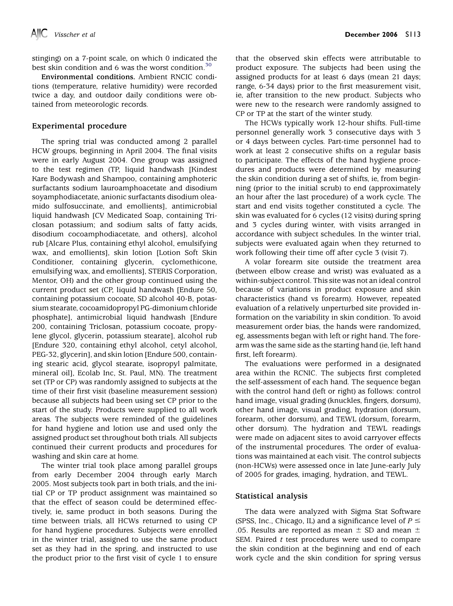stinging) on a 7-point scale, on which 0 indicated the best skin condition and 6 was the worst condition.<sup>[30](#page-12-0)</sup>

Environmental conditions. Ambient RNCIC conditions (temperature, relative humidity) were recorded twice a day, and outdoor daily conditions were obtained from meteorologic records.

# Experimental procedure

The spring trial was conducted among 2 parallel HCW groups, beginning in April 2004. The final visits were in early August 2004. One group was assigned to the test regimen (TP, liquid handwash [Kindest Kare Bodywash and Shampoo, containing amphoteric surfactants sodium lauroamphoacetate and disodium soyamphodiacetate, anionic surfactants disodium oleamido sulfosuccinate, and emollients], antimicrobial liquid handwash [CV Medicated Soap, containing Triclosan potassium; and sodium salts of fatty acids, disodium cocoamphodiacetate, and others], alcohol rub [Alcare Plus, containing ethyl alcohol, emulsifying wax, and emollients], skin lotion [Lotion Soft Skin Conditioner, containing glycerin, cyclomethicone, emulsifying wax, and emollients], STERIS Corporation, Mentor, OH) and the other group continued using the current product set (CP, liquid handwash [Endure 50, containing potassium cocoate, SD alcohol 40-B, potassium stearate, cocoamidopropyl PG-dimonium chloride phosphate], antimicrobial liquid handwash [Endure 200, containing Triclosan, potassium cocoate, propylene glycol, glycerin, potassium stearate], alcohol rub [Endure 320, containing ethyl alcohol, cetyl alcohol, PEG-32, glycerin], and skin lotion [Endure 500, containing stearic acid, glycol stearate, isopropyl palmitate, mineral oil], Ecolab Inc, St. Paul, MN). The treatment set (TP or CP) was randomly assigned to subjects at the time of their first visit (baseline measurement session) because all subjects had been using set CP prior to the start of the study. Products were supplied to all work areas. The subjects were reminded of the guidelines for hand hygiene and lotion use and used only the assigned product set throughout both trials. All subjects continued their current products and procedures for washing and skin care at home.

The winter trial took place among parallel groups from early December 2004 through early March 2005. Most subjects took part in both trials, and the initial CP or TP product assignment was maintained so that the effect of season could be determined effectively, ie, same product in both seasons. During the time between trials, all HCWs returned to using CP for hand hygiene procedures. Subjects were enrolled in the winter trial, assigned to use the same product set as they had in the spring, and instructed to use the product prior to the first visit of cycle 1 to ensure that the observed skin effects were attributable to product exposure. The subjects had been using the assigned products for at least 6 days (mean 21 days; range, 6-34 days) prior to the first measurement visit, ie, after transition to the new product. Subjects who were new to the research were randomly assigned to CP or TP at the start of the winter study.

The HCWs typically work 12-hour shifts. Full-time personnel generally work 3 consecutive days with 3 or 4 days between cycles. Part-time personnel had to work at least 2 consecutive shifts on a regular basis to participate. The effects of the hand hygiene procedures and products were determined by measuring the skin condition during a set of shifts, ie, from beginning (prior to the initial scrub) to end (approximately an hour after the last procedure) of a work cycle. The start and end visits together constituted a cycle. The skin was evaluated for 6 cycles (12 visits) during spring and 3 cycles during winter, with visits arranged in accordance with subject schedules. In the winter trial, subjects were evaluated again when they returned to work following their time off after cycle 3 (visit 7).

A volar forearm site outside the treatment area (between elbow crease and wrist) was evaluated as a within-subject control. This site was not an ideal control because of variations in product exposure and skin characteristics (hand vs forearm). However, repeated evaluation of a relatively unperturbed site provided information on the variability in skin condition. To avoid measurement order bias, the hands were randomized, eg, assessments began with left or right hand. The forearm was the same side as the starting hand (ie, left hand first, left forearm).

The evaluations were performed in a designated area within the RCNIC. The subjects first completed the self-assessment of each hand. The sequence began with the control hand (left or right) as follows: control hand image, visual grading (knuckles, fingers, dorsum), other hand image, visual grading, hydration (dorsum, forearm, other dorsum), and TEWL (dorsum, forearm, other dorsum). The hydration and TEWL readings were made on adjacent sites to avoid carryover effects of the instrumental procedures. The order of evaluations was maintained at each visit. The control subjects (non-HCWs) were assessed once in late June-early July of 2005 for grades, imaging, hydration, and TEWL.

# Statistical analysis

The data were analyzed with Sigma Stat Software (SPSS, Inc., Chicago, IL) and a significance level of  $P \leq$ .05. Results are reported as mean  $\pm$  SD and mean  $\pm$ SEM. Paired  $t$  test procedures were used to compare the skin condition at the beginning and end of each work cycle and the skin condition for spring versus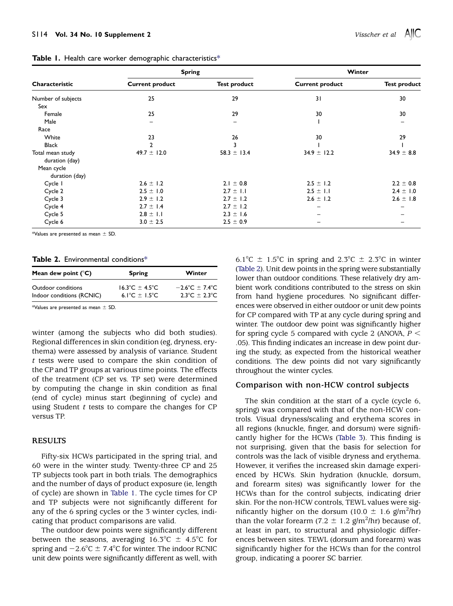|  |  |  |  |  |  | Table 1. Health care worker demographic characteristics* |
|--|--|--|--|--|--|----------------------------------------------------------|
|--|--|--|--|--|--|----------------------------------------------------------|

|                    | <b>Spring</b>          |                     | Winter                 |                     |  |
|--------------------|------------------------|---------------------|------------------------|---------------------|--|
| Characteristic     | <b>Current product</b> | <b>Test product</b> | <b>Current product</b> | <b>Test product</b> |  |
| Number of subjects | 25                     | 29                  | 31                     | 30                  |  |
| Sex                |                        |                     |                        |                     |  |
| Female             | 25                     | 29                  | 30                     | 30                  |  |
| Male               | -                      | -                   |                        | -                   |  |
| Race               |                        |                     |                        |                     |  |
| White              | 23                     | 26                  | 30                     | 29                  |  |
| <b>Black</b>       | $\mathbf{2}$           | 3                   |                        |                     |  |
| Total mean study   | 49.7 $\pm$ 12.0        | 58.3 $\pm$ 13.4     | $34.9 \pm 12.2$        | $34.9 \pm 8.8$      |  |
| duration (day)     |                        |                     |                        |                     |  |
| Mean cycle         |                        |                     |                        |                     |  |
| duration (day)     |                        |                     |                        |                     |  |
| Cycle I            | $2.6 \pm 1.2$          | 2.1 $\pm$ 0.8       | $2.5 \pm 1.2$          | $2.2 \pm 0.8$       |  |
| Cycle 2            | $2.5 \pm 1.0$          | $2.7 \pm 1.1$       | $2.5 \pm 1.1$          | $2.4 \pm 1.0$       |  |
| Cycle 3            | $2.9 \pm 1.2$          | $2.7 \pm 1.2$       | $2.6 \pm 1.2$          | $2.6 \pm 1.8$       |  |
| Cycle 4            | $2.7 \pm 1.4$          | $2.7 \pm 1.2$       |                        |                     |  |
| Cycle 5            | $2.8 \pm 1.1$          | $2.3 \pm 1.6$       |                        |                     |  |
| Cycle 6            | $3.0 \pm 2.5$          | $2.5 \pm 0.9$       |                        |                     |  |

 $*$ Values are presented as mean  $\pm$  SD.

Table 2. Environmental conditions\*

| Mean dew point $(^{\circ}C)$ | <b>Spring</b>                       | Winter                                  |  |
|------------------------------|-------------------------------------|-----------------------------------------|--|
| Outdoor conditions           | $16.3^{\circ}$ C + 4.5 $^{\circ}$ C | $-2.6^{\circ}$ C $\pm$ 7.4 $^{\circ}$ C |  |
| Indoor conditions (RCNIC)    | 6.1°C $\pm$ 1.5°C                   | $2.3^{\circ}C \pm 2.3^{\circ}C$         |  |

\*Values are presented as mean  $\pm$  SD.

winter (among the subjects who did both studies). Regional differences in skin condition (eg, dryness, erythema) were assessed by analysis of variance. Student  $t$  tests were used to compare the skin condition of the CP and TP groups at various time points. The effects of the treatment (CP set vs. TP set) were determined by computing the change in skin condition as final (end of cycle) minus start (beginning of cycle) and using Student  $t$  tests to compare the changes for CP versus TP.

#### RESULTS

Fifty-six HCWs participated in the spring trial, and 60 were in the winter study. Twenty-three CP and 25 TP subjects took part in both trials. The demographics and the number of days of product exposure (ie, length of cycle) are shown in Table 1. The cycle times for CP and TP subjects were not significantly different for any of the 6 spring cycles or the 3 winter cycles, indicating that product comparisons are valid.

The outdoor dew points were significantly different between the seasons, averaging  $16.3^{\circ}C \pm 4.5^{\circ}C$  for spring and  $-2.6^{\circ}\text{C} \pm 7.4^{\circ}\text{C}$  for winter. The indoor RCNIC unit dew points were significantly different as well, with

6.1°C  $\pm$  1.5°C in spring and 2.3°C  $\pm$  2.3°C in winter (Table 2). Unit dew points in the spring were substantially lower than outdoor conditions. These relatively dry ambient work conditions contributed to the stress on skin from hand hygiene procedures. No significant differences were observed in either outdoor or unit dew points for CP compared with TP at any cycle during spring and winter. The outdoor dew point was significantly higher for spring cycle 5 compared with cycle 2 (ANOVA,  $P$  < .05). This finding indicates an increase in dew point during the study, as expected from the historical weather conditions. The dew points did not vary significantly throughout the winter cycles.

#### Comparison with non-HCW control subjects

The skin condition at the start of a cycle (cycle 6, spring) was compared with that of the non-HCW controls. Visual dryness/scaling and erythema scores in all regions (knuckle, finger, and dorsum) were significantly higher for the HCWs ([Table 3\)](#page-4-0). This finding is not surprising, given that the basis for selection for controls was the lack of visible dryness and erythema. However, it verifies the increased skin damage experienced by HCWs. Skin hydration (knuckle, dorsum, and forearm sites) was significantly lower for the HCWs than for the control subjects, indicating drier skin. For the non-HCW controls, TEWL values were significantly higher on the dorsum (10.0  $\pm$  1.6 g/m<sup>2</sup>/hr) than the volar forearm (7.2  $\pm$  1.2 g/m<sup>2</sup>/hr) because of, at least in part, to structural and physiologic differences between sites. TEWL (dorsum and forearm) was significantly higher for the HCWs than for the control group, indicating a poorer SC barrier.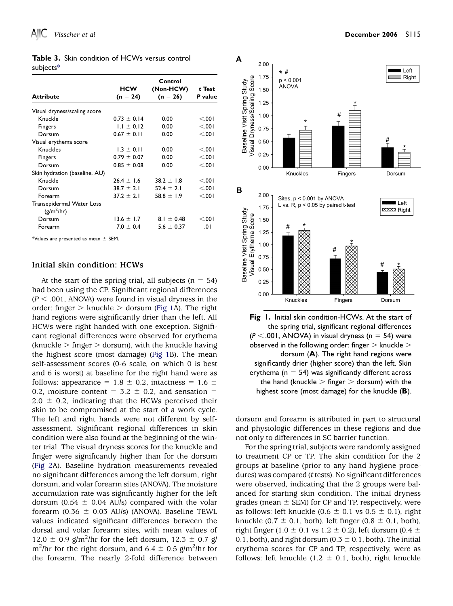<span id="page-4-0"></span>

|           |  | <b>Table 3.</b> Skin condition of HCWs versus control |  |
|-----------|--|-------------------------------------------------------|--|
| subjects* |  |                                                       |  |

| <b>Attribute</b>              | <b>HCW</b><br>$(n = 24)$ | Control<br>(Non-HCW)<br>$(n = 26)$ | t Test<br>P value |
|-------------------------------|--------------------------|------------------------------------|-------------------|
| Visual dryness/scaling score  |                          |                                    |                   |
| Knuckle                       | $0.73 \pm 0.14$          | 0.00                               | < 001             |
| Fingers                       | $1.1 \pm 0.12$           | 0.00                               | < 001             |
| Dorsum                        | $0.67 \pm 0.11$          | 0.00                               | < 001             |
| Visual erythema score         |                          |                                    |                   |
| Knuckles                      | $1.3 \pm 0.11$           | 0.00                               | < 001             |
| Fingers                       | $0.79 \pm 0.07$          | 0.00                               | < 001             |
| Dorsum                        | $0.85 \pm 0.08$          | 0.00                               | < 001             |
| Skin hydration (baseline, AU) |                          |                                    |                   |
| Knuckle                       | $26.4 \pm 1.6$           | $38.2 \pm 1.8$                     | < 001             |
| Dorsum                        | $38.7 \pm 2.1$           | $52.4 \pm 2.1$                     | < 001             |
| Forearm                       | $37.2 \pm 2.1$           | 58.8 $\pm$ 1.9                     | < 001             |
| Transepidermal Water Loss     |                          |                                    |                   |
| $(g/m^2/hr)$                  |                          |                                    |                   |
| Dorsum                        | $13.6 \pm 1.7$           | 8.1 $\pm$ 0.48                     | < 001             |
| Forearm                       | $7.0 \pm 0.4$            | 5.6 $\pm$ 0.37                     | .01               |

\*Values are presented as mean  $\pm$  SEM.

# Initial skin condition: HCWs

At the start of the spring trial, all subjects ( $n = 54$ ) had been using the CP. Significant regional differences  $(P < .001,$  ANOVA) were found in visual dryness in the order: finger  $>$  knuckle  $>$  dorsum (Fig 1A). The right hand regions were significantly drier than the left. All HCWs were right handed with one exception. Significant regional differences were observed for erythema (knuckle  $>$  finger  $>$  dorsum), with the knuckle having the highest score (most damage) (Fig 1B). The mean self-assessment scores (0-6 scale, on which 0 is best and 6 is worst) at baseline for the right hand were as follows: appearance =  $1.8 \pm 0.2$ , intactness =  $1.6 \pm 0.2$ 0.2, moisture content =  $3.2 \pm 0.2$ , and sensation =  $2.0 \pm 0.2$ , indicating that the HCWs perceived their skin to be compromised at the start of a work cycle. The left and right hands were not different by selfassessment. Significant regional differences in skin condition were also found at the beginning of the winter trial. The visual dryness scores for the knuckle and finger were significantly higher than for the dorsum [\(Fig 2A](#page-5-0)). Baseline hydration measurements revealed no significant differences among the left dorsum, right dorsum, and volar forearm sites (ANOVA). The moisture accumulation rate was significantly higher for the left dorsum (0.54  $\pm$  0.04 AU/s) compared with the volar forearm (0.36  $\pm$  0.03 AU/s) (ANOVA). Baseline TEWL values indicated significant differences between the dorsal and volar forearm sites, with mean values of 12.0  $\pm$  0.9 g/m<sup>2</sup>/hr for the left dorsum, 12.3  $\pm$  0.7 g/  $m^2$ /hr for the right dorsum, and 6.4  $\pm$  0.5 g/m<sup>2</sup>/hr for the forearm. The nearly 2-fold difference between



Fig 1. Initial skin condition-HCWs. At the start of the spring trial, significant regional differences  $(P < .001$ , ANOVA) in visual dryness (n = 54) were observed in the following order: finger  $>$  knuckle  $>$ dorsum (A). The right hand regions were significantly drier (higher score) than the left. Skin erythema ( $n = 54$ ) was significantly different across the hand (knuckle  $>$  finger  $>$  dorsum) with the highest score (most damage) for the knuckle  $(B)$ .

dorsum and forearm is attributed in part to structural and physiologic differences in these regions and due not only to differences in SC barrier function.

For the spring trial, subjects were randomly assigned to treatment CP or TP. The skin condition for the 2 groups at baseline (prior to any hand hygiene procedures) was compared (*t* tests). No significant differences were observed, indicating that the 2 groups were balanced for starting skin condition. The initial dryness grades (mean  $\pm$  SEM) for CP and TP, respectively, were as follows: left knuckle (0.6  $\pm$  0.1 vs 0.5  $\pm$  0.1), right knuckle (0.7  $\pm$  0.1, both), left finger (0.8  $\pm$  0.1, both), right finger (1.0  $\pm$  0.1 vs 1.2  $\pm$  0.2), left dorsum (0.4  $\pm$ 0.1, both), and right dorsum (0.3  $\pm$  0.1, both). The initial erythema scores for CP and TP, respectively, were as follows: left knuckle  $(1.2 \pm 0.1, \text{ both})$ , right knuckle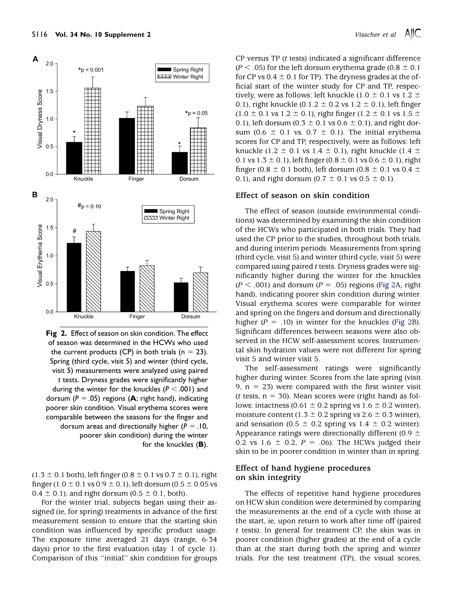<span id="page-5-0"></span>

Fig 2. Effect of season on skin condition. The effect of season was determined in the HCWs who used the current products (CP) in both trials ( $n = 23$ ). Spring (third cycle, visit 5) and winter (third cycle, visit 5) measurements were analyzed using paired t tests. Dryness grades were significantly higher during the winter for the knuckles ( $P < .001$ ) and dorsum ( $P = .05$ ) regions (A; right hand), indicating poorer skin condition. Visual erythema scores were comparable between the seasons for the finger and dorsum areas and directionally higher ( $P = .10$ , poorer skin condition) during the winter for the knuckles (B).

 $(1.3 \pm 0.1 \text{ both})$ , left finger  $(0.8 \pm 0.1 \text{ vs } 0.7 \pm 0.1)$ , right finger (1.0  $\pm$  0.1 vs 0.9  $\pm$  0.1), left dorsum (0.5  $\pm$  0.05 vs  $0.4 \pm 0.1$ ), and right dorsum ( $0.5 \pm 0.1$ , both).

For the winter trial, subjects began using their assigned (ie, for spring) treatments in advance of the first measurement session to ensure that the starting skin condition was influenced by specific product usage. The exposure time averaged 21 days (range, 6-34 days) prior to the first evaluation (day 1 of cycle 1). Comparison of this ''initial'' skin condition for groups  $CP$  versus TP ( $t$  tests) indicated a significant difference  $(P < .05)$  for the left dorsum erythema grade (0.8  $\pm$  0.1 for CP vs  $0.4 \pm 0.1$  for TP). The dryness grades at the official start of the winter study for CP and TP, respectively, were as follows: left knuckle (1.0  $\pm$  0.1 vs 1.2  $\pm$ 0.1), right knuckle (0.1.2  $\pm$  0.2 vs 1.2  $\pm$  0.1), left finger  $(1.0 \pm 0.1 \text{ vs } 1.2 \pm 0.1)$ , right finger  $(1.2 \pm 0.1 \text{ vs } 1.5 \pm 0.1)$ 0.1), left dorsum (0.3  $\pm$  0.1 vs 0.6  $\pm$  0.1), and right dorsum (0.6  $\pm$  0.1 vs. 0.7  $\pm$  0.1). The initial erythema scores for CP and TP, respectively, were as follows: left knuckle (1.2  $\pm$  0.1 vs 1.4  $\pm$  0.1), right knuckle (1.4  $\pm$ 0.1 vs  $1.5 \pm 0.1$ ), left finger (0.8  $\pm$  0.1 vs 0.6  $\pm$  0.1), right finger (0.8  $\pm$  0.1 both), left dorsum (0.8  $\pm$  0.1 vs 0.4  $\pm$ 0.1), and right dorsum (0.7  $\pm$  0.1 vs 0.5  $\pm$  0.1).

#### Effect of season on skin condition

The effect of season (outside environmental conditions) was determined by examining the skin condition of the HCWs who participated in both trials. They had used the CP prior to the studies, throughout both trials, and during interim periods. Measurements from spring (third cycle, visit 5) and winter (third cycle, visit 5) were compared using paired t tests. Dryness grades were significantly higher during the winter for the knuckles  $(P < .001)$  and dorsum  $(P = .05)$  regions (Fig 2A, right hand), indicating poorer skin condition during winter. Visual erythema scores were comparable for winter and spring on the fingers and dorsum and directionally higher ( $P = .10$ ) in winter for the knuckles (Fig 2B). Significant differences between seasons were also observed in the HCW self-assessment scores. Instrumental skin hydration values were not different for spring visit 5 and winter visit 5.

The self-assessment ratings were significantly higher during winter. Scores from the late spring (visit 9,  $n = 23$ ) were compared with the first winter visit (*t* tests,  $n = 30$ ). Mean scores were (right hand) as follows: intactness (0.61  $\pm$  0.2 spring vs 1.6  $\pm$  0.2 winter), moisture content (1.3  $\pm$  0.2 spring vs 2.6  $\pm$  0.3 winter), and sensation (0.5  $\pm$  0.2 spring vs 1.4  $\pm$  0.2 winter). Appearance ratings were directionally different (0.9  $\pm$ 0.2 vs 1.6  $\pm$  0.2, P = .06). The HCWs judged their skin to be in poorer condition in winter than in spring.

# Effect of hand hygiene procedures on skin integrity

The effects of repetitive hand hygiene procedures on HCW skin condition were determined by comparing the measurements at the end of a cycle with those at the start, ie, upon return to work after time off (paired  $t$  tests). In general for treatment CP, the skin was in poorer condition (higher grades) at the end of a cycle than at the start during both the spring and winter trials. For the test treatment (TP), the visual scores,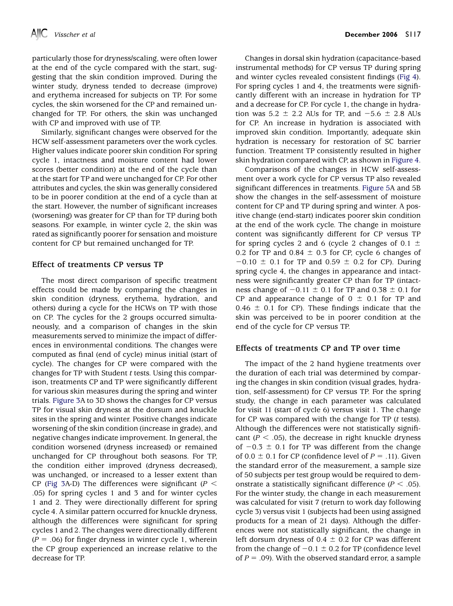particularly those for dryness/scaling, were often lower at the end of the cycle compared with the start, suggesting that the skin condition improved. During the winter study, dryness tended to decrease (improve) and erythema increased for subjects on TP. For some cycles, the skin worsened for the CP and remained unchanged for TP. For others, the skin was unchanged with CP and improved with use of TP.

Similarly, significant changes were observed for the HCW self-assessment parameters over the work cycles. Higher values indicate poorer skin condition For spring cycle 1, intactness and moisture content had lower scores (better condition) at the end of the cycle than at the start for TP and were unchanged for CP. For other attributes and cycles, the skin was generally considered to be in poorer condition at the end of a cycle than at the start. However, the number of significant increases (worsening) was greater for CP than for TP during both seasons. For example, in winter cycle 2, the skin was rated as significantly poorer for sensation and moisture content for CP but remained unchanged for TP.

# Effect of treatments CP versus TP

The most direct comparison of specific treatment effects could be made by comparing the changes in skin condition (dryness, erythema, hydration, and others) during a cycle for the HCWs on TP with those on CP. The cycles for the 2 groups occurred simultaneously, and a comparison of changes in the skin measurements served to minimize the impact of differences in environmental conditions. The changes were computed as final (end of cycle) minus initial (start of cycle). The changes for CP were compared with the changes for TP with Student  $t$  tests. Using this comparison, treatments CP and TP were significantly different for various skin measures during the spring and winter trials. [Figure 3A](#page-7-0) to 3D shows the changes for CP versus TP for visual skin dryness at the dorsum and knuckle sites in the spring and winter. Positive changes indicate worsening of the skin condition (increase in grade), and negative changes indicate improvement. In general, the condition worsened (dryness increased) or remained unchanged for CP throughout both seasons. For TP, the condition either improved (dryness decreased), was unchanged, or increased to a lesser extent than CP ([Fig 3](#page-7-0)A-D) The differences were significant ( $P \leq$ .05) for spring cycles 1 and 3 and for winter cycles 1 and 2. They were directionally different for spring cycle 4. A similar pattern occurred for knuckle dryness, although the differences were significant for spring cycles 1 and 2. The changes were directionally different  $(P = .06)$  for finger dryness in winter cycle 1, wherein the CP group experienced an increase relative to the decrease for TP.

Changes in dorsal skin hydration (capacitance-based instrumental methods) for CP versus TP during spring and winter cycles revealed consistent findings [\(Fig 4](#page-8-0)). For spring cycles 1 and 4, the treatments were significantly different with an increase in hydration for TP and a decrease for CP. For cycle 1, the change in hydration was  $5.2 \pm 2.2$  AUs for TP, and  $-5.6 \pm 2.8$  AUs for CP. An increase in hydration is associated with improved skin condition. Importantly, adequate skin hydration is necessary for restoration of SC barrier function. Treatment TP consistently resulted in higher skin hydration compared with CP, as shown in [Figure 4.](#page-8-0)

Comparisons of the changes in HCW self-assessment over a work cycle for CP versus TP also revealed significant differences in treatments. [Figure 5A](#page-8-0) and 5B show the changes in the self-assessment of moisture content for CP and TP during spring and winter. A positive change (end-start) indicates poorer skin condition at the end of the work cycle. The change in moisture content was significantly different for CP versus TP for spring cycles 2 and 6 (cycle 2 changes of 0.1  $\pm$ 0.2 for TP and 0.84  $\pm$  0.3 for CP, cycle 6 changes of  $-0.10 \pm 0.1$  for TP and 0.59  $\pm$  0.2 for CP). During spring cycle 4, the changes in appearance and intactness were significantly greater CP than for TP (intactness change of  $-0.11 \pm 0.1$  for TP and 0.38  $\pm$  0.1 for CP and appearance change of  $0 \pm 0.1$  for TP and  $0.46 \pm 0.1$  for CP). These findings indicate that the skin was perceived to be in poorer condition at the end of the cycle for CP versus TP.

# Effects of treatments CP and TP over time

The impact of the 2 hand hygiene treatments over the duration of each trial was determined by comparing the changes in skin condition (visual grades, hydration, self-assessment) for CP versus TP. For the spring study, the change in each parameter was calculated for visit 11 (start of cycle 6) versus visit 1. The change for CP was compared with the change for  $TP$  ( $t$  tests). Although the differences were not statistically significant ( $P < .05$ ), the decrease in right knuckle dryness of  $-0.3 \pm 0.1$  for TP was different from the change of 0.0  $\pm$  0.1 for CP (confidence level of P = .11). Given the standard error of the measurement, a sample size of 50 subjects per test group would be required to demonstrate a statistically significant difference ( $P < .05$ ). For the winter study, the change in each measurement was calculated for visit 7 (return to work day following cycle 3) versus visit 1 (subjects had been using assigned products for a mean of 21 days). Although the differences were not statistically significant, the change in left dorsum dryness of  $0.4 \pm 0.2$  for CP was different from the change of  $-0.1 \pm 0.2$  for TP (confidence level of  $P = .09$ ). With the observed standard error, a sample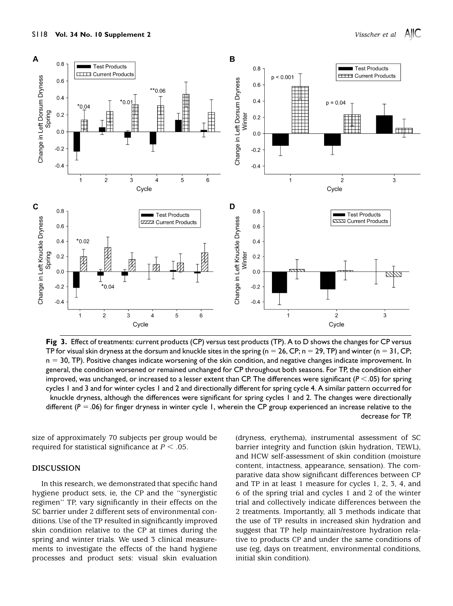<span id="page-7-0"></span>

Fig 3. Effect of treatments: current products (CP) versus test products (TP). A to D shows the changes for CP versus TP for visual skin dryness at the dorsum and knuckle sites in the spring (n = 26, CP; n = 29, TP) and winter (n = 31, CP;  $n = 30$ , TP). Positive changes indicate worsening of the skin condition, and negative changes indicate improvement. In general, the condition worsened or remained unchanged for CP throughout both seasons. For TP, the condition either improved, was unchanged, or increased to a lesser extent than CP. The differences were significant ( $P < .05$ ) for spring cycles 1 and 3 and for winter cycles 1 and 2 and directionally different for spring cycle 4. A similar pattern occurred for knuckle dryness, although the differences were significant for spring cycles 1 and 2. The changes were directionally different ( $P = .06$ ) for finger dryness in winter cycle 1, wherein the CP group experienced an increase relative to the decrease for TP.

size of approximately 70 subjects per group would be required for statistical significance at  $P < .05$ .

## DISCUSSION

In this research, we demonstrated that specific hand hygiene product sets, ie, the CP and the ''synergistic regimen'' TP, vary significantly in their effects on the SC barrier under 2 different sets of environmental conditions. Use of the TP resulted in significantly improved skin condition relative to the CP at times during the spring and winter trials. We used 3 clinical measurements to investigate the effects of the hand hygiene processes and product sets: visual skin evaluation (dryness, erythema), instrumental assessment of SC barrier integrity and function (skin hydration, TEWL), and HCW self-assessment of skin condition (moisture content, intactness, appearance, sensation). The comparative data show significant differences between CP and TP in at least 1 measure for cycles 1, 2, 3, 4, and 6 of the spring trial and cycles 1 and 2 of the winter trial and collectively indicate differences between the 2 treatments. Importantly, all 3 methods indicate that the use of TP results in increased skin hydration and suggest that TP help maintain/restore hydration relative to products CP and under the same conditions of use (eg, days on treatment, environmental conditions, initial skin condition).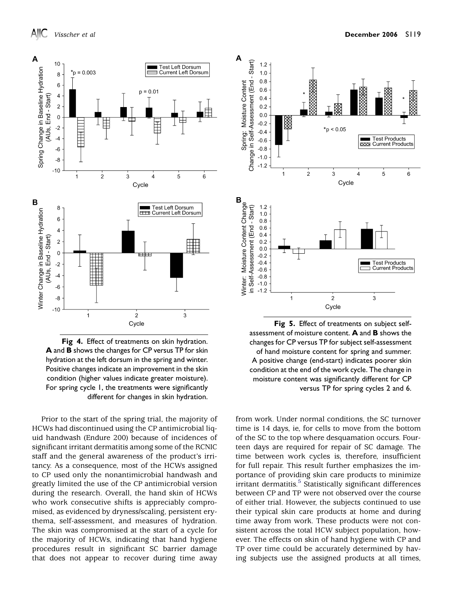<span id="page-8-0"></span>

Fig 4. Effect of treatments on skin hydration. A and B shows the changes for CP versus TP for skin hydration at the left dorsum in the spring and winter. Positive changes indicate an improvement in the skin condition (higher values indicate greater moisture). For spring cycle 1, the treatments were significantly different for changes in skin hydration.

Prior to the start of the spring trial, the majority of HCWs had discontinued using the CP antimicrobial liquid handwash (Endure 200) because of incidences of significant irritant dermatitis among some of the RCNIC staff and the general awareness of the product's irritancy. As a consequence, most of the HCWs assigned to CP used only the nonantimicrobial handwash and greatly limited the use of the CP antimicrobial version during the research. Overall, the hand skin of HCWs who work consecutive shifts is appreciably compromised, as evidenced by dryness/scaling, persistent erythema, self-assessment, and measures of hydration. The skin was compromised at the start of a cycle for the majority of HCWs, indicating that hand hygiene procedures result in significant SC barrier damage that does not appear to recover during time away



Fig 5. Effect of treatments on subject selfassessment of moisture content. A and B shows the changes for CP versus TP for subject self-assessment of hand moisture content for spring and summer. A positive change (end-start) indicates poorer skin condition at the end of the work cycle. The change in moisture content was significantly different for CP versus TP for spring cycles 2 and 6.

from work. Under normal conditions, the SC turnover time is 14 days, ie, for cells to move from the bottom of the SC to the top where desquamation occurs. Fourteen days are required for repair of SC damage. The time between work cycles is, therefore, insufficient for full repair. This result further emphasizes the importance of providing skin care products to minimize irritant dermatitis.<sup>[5](#page-11-0)</sup> Statistically significant differences between CP and TP were not observed over the course of either trial. However, the subjects continued to use their typical skin care products at home and during time away from work. These products were not consistent across the total HCW subject population, however. The effects on skin of hand hygiene with CP and TP over time could be accurately determined by having subjects use the assigned products at all times,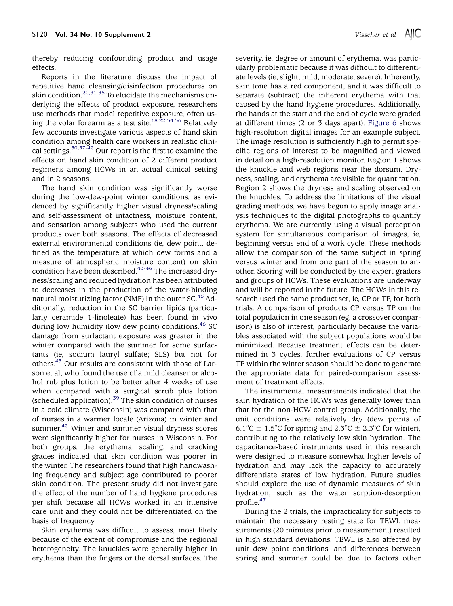thereby reducing confounding product and usage effects.

Reports in the literature discuss the impact of repetitive hand cleansing/disinfection procedures on skin condition.<sup>[20,31-35](#page-12-0)</sup> To elucidate the mechanisms underlying the effects of product exposure, researchers use methods that model repetitive exposure, often us-ing the volar forearm as a test site.<sup>[18,22,34,36](#page-12-0)</sup> Relatively few accounts investigate various aspects of hand skin condition among health care workers in realistic clini-cal settings.<sup>[30,37-42](#page-12-0)</sup> Our report is the first to examine the effects on hand skin condition of 2 different product regimens among HCWs in an actual clinical setting and in 2 seasons.

The hand skin condition was significantly worse during the low-dew-point winter conditions, as evidenced by significantly higher visual dryness/scaling and self-assessment of intactness, moisture content, and sensation among subjects who used the current products over both seasons. The effects of decreased external environmental conditions (ie, dew point, defined as the temperature at which dew forms and a measure of atmospheric moisture content) on skin condition have been described. $43-46$  The increased dryness/scaling and reduced hydration has been attributed to decreases in the production of the water-binding natural moisturizing factor (NMF) in the outer SC.<sup>[45](#page-12-0)</sup> Additionally, reduction in the SC barrier lipids (particularly ceramide 1-linoleate) has been found in vivo during low humidity (low dew point) conditions.  $46$  SC damage from surfactant exposure was greater in the winter compared with the summer for some surfactants (ie, sodium lauryl sulfate; SLS) but not for others[.43](#page-12-0) Our results are consistent with those of Larson et al, who found the use of a mild cleanser or alcohol rub plus lotion to be better after 4 weeks of use when compared with a surgical scrub plus lotion (scheduled application). $39$  The skin condition of nurses in a cold climate (Wisconsin) was compared with that of nurses in a warmer locale (Arizona) in winter and summer.<sup>[42](#page-12-0)</sup> Winter and summer visual dryness scores were significantly higher for nurses in Wisconsin. For both groups, the erythema, scaling, and cracking grades indicated that skin condition was poorer in the winter. The researchers found that high handwashing frequency and subject age contributed to poorer skin condition. The present study did not investigate the effect of the number of hand hygiene procedures per shift because all HCWs worked in an intensive care unit and they could not be differentiated on the basis of frequency.

Skin erythema was difficult to assess, most likely because of the extent of compromise and the regional heterogeneity. The knuckles were generally higher in erythema than the fingers or the dorsal surfaces. The severity, ie, degree or amount of erythema, was particularly problematic because it was difficult to differentiate levels (ie, slight, mild, moderate, severe). Inherently, skin tone has a red component, and it was difficult to separate (subtract) the inherent erythema with that caused by the hand hygiene procedures. Additionally, the hands at the start and the end of cycle were graded at different times (2 or 3 days apart). [Figure 6](#page-10-0) shows high-resolution digital images for an example subject. The image resolution is sufficiently high to permit specific regions of interest to be magnified and viewed in detail on a high-resolution monitor. Region 1 shows the knuckle and web regions near the dorsum. Dryness, scaling, and erythema are visible for quantitation. Region 2 shows the dryness and scaling observed on the knuckles. To address the limitations of the visual grading methods, we have begun to apply image analysis techniques to the digital photographs to quantify erythema. We are currently using a visual perception system for simultaneous comparison of images, ie, beginning versus end of a work cycle. These methods allow the comparison of the same subject in spring versus winter and from one part of the season to another. Scoring will be conducted by the expert graders and groups of HCWs. These evaluations are underway and will be reported in the future. The HCWs in this research used the same product set, ie, CP or TP, for both trials. A comparison of products CP versus TP on the total population in one season (eg, a crossover comparison) is also of interest, particularly because the variables associated with the subject populations would be minimized. Because treatment effects can be determined in 3 cycles, further evaluations of CP versus TP within the winter season should be done to generate the appropriate data for paired-comparison assessment of treatment effects.

The instrumental measurements indicated that the skin hydration of the HCWs was generally lower than that for the non-HCW control group. Additionally, the unit conditions were relatively dry (dew points of 6.1°C  $\pm$  1.5°C for spring and 2.3°C  $\pm$  2.3°C for winter), contributing to the relatively low skin hydration. The capacitance-based instruments used in this research were designed to measure somewhat higher levels of hydration and may lack the capacity to accurately differentiate states of low hydration. Future studies should explore the use of dynamic measures of skin hydration, such as the water sorption-desorption profile.<sup>[47](#page-12-0)</sup>

During the 2 trials, the impracticality for subjects to maintain the necessary resting state for TEWL measurements (20 minutes prior to measurement) resulted in high standard deviations. TEWL is also affected by unit dew point conditions, and differences between spring and summer could be due to factors other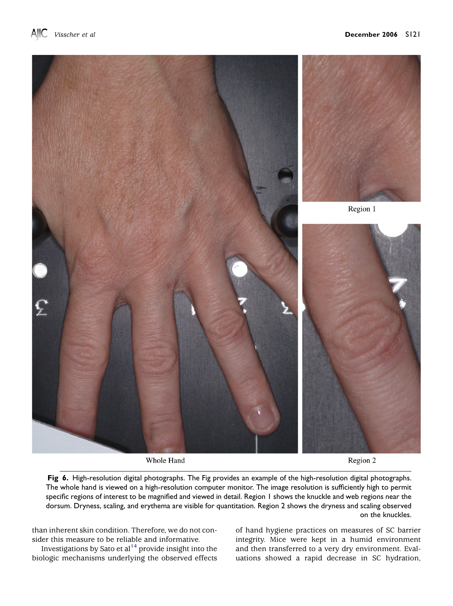<span id="page-10-0"></span>

Whole Hand

Region 2

Fig 6. High-resolution digital photographs. The Fig provides an example of the high-resolution digital photographs. The whole hand is viewed on a high-resolution computer monitor. The image resolution is sufficiently high to permit specific regions of interest to be magnified and viewed in detail. Region 1 shows the knuckle and web regions near the dorsum. Dryness, scaling, and erythema are visible for quantitation. Region 2 shows the dryness and scaling observed on the knuckles.

than inherent skin condition. Therefore, we do not consider this measure to be reliable and informative.

Investigations by Sato et  $al^{14}$  $al^{14}$  $al^{14}$  provide insight into the biologic mechanisms underlying the observed effects of hand hygiene practices on measures of SC barrier integrity. Mice were kept in a humid environment and then transferred to a very dry environment. Evaluations showed a rapid decrease in SC hydration,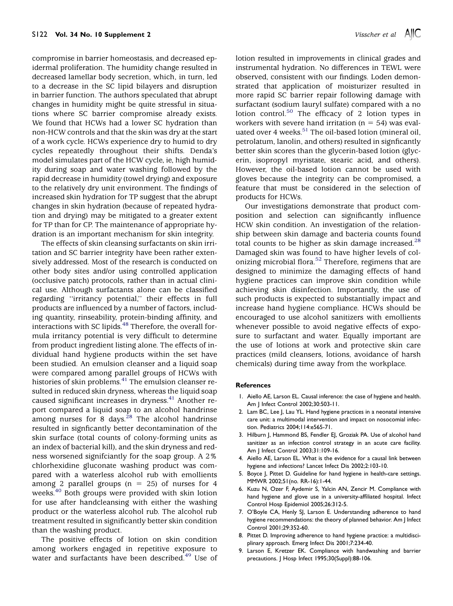<span id="page-11-0"></span>compromise in barrier homeostasis, and decreased epidermal proliferation. The humidity change resulted in decreased lamellar body secretion, which, in turn, led to a decrease in the SC lipid bilayers and disruption in barrier function. The authors speculated that abrupt changes in humidity might be quite stressful in situations where SC barrier compromise already exists. We found that HCWs had a lower SC hydration than non-HCW controls and that the skin was dry at the start of a work cycle. HCWs experience dry to humid to dry cycles repeatedly throughout their shifts. Denda's model simulates part of the HCW cycle, ie, high humidity during soap and water washing followed by the rapid decrease in humidity (towel drying) and exposure to the relatively dry unit environment. The findings of increased skin hydration for TP suggest that the abrupt changes in skin hydration (because of repeated hydration and drying) may be mitigated to a greater extent for TP than for CP. The maintenance of appropriate hydration is an important mechanism for skin integrity.

The effects of skin cleansing surfactants on skin irritation and SC barrier integrity have been rather extensively addressed. Most of the research is conducted on other body sites and/or using controlled application (occlusive patch) protocols, rather than in actual clinical use. Although surfactants alone can be classified regarding ''irritancy potential,'' their effects in full products are influenced by a number of factors, including quantity, rinseability, protein-binding affinity, and interactions with SC lipids.<sup>[48](#page-12-0)</sup> Therefore, the overall formula irritancy potential is very difficult to determine from product ingredient listing alone. The effects of individual hand hygiene products within the set have been studied. An emulsion cleanser and a liquid soap were compared among parallel groups of HCWs with histories of skin problems.<sup>[41](#page-12-0)</sup> The emulsion cleanser resulted in reduced skin dryness, whereas the liquid soap caused significant increases in dryness.<sup>[41](#page-12-0)</sup> Another report compared a liquid soap to an alcohol handrinse among nurses for 8 days. $28$  The alcohol handrinse resulted in signficantly better decontamination of the skin surface (total counts of colony-forming units as an index of bacterial kill), and the skin dryness and redness worsened signifciantly for the soap group. A 2% chlorhexidine gluconate washing product was compared with a waterless alcohol rub with emollients among 2 parallel groups ( $n = 25$ ) of nurses for 4 weeks.<sup>[40](#page-12-0)</sup> Both groups were provided with skin lotion for use after handcleansing with either the washing product or the waterless alcohol rub. The alcohol rub treatment resulted in significantly better skin condition than the washing product.

The positive effects of lotion on skin condition among workers engaged in repetitive exposure to water and surfactants have been described.<sup>[49](#page-12-0)</sup> Use of lotion resulted in improvements in clinical grades and instrumental hydration. No differences in TEWL were observed, consistent with our findings. Loden demonstrated that application of moisturizer resulted in more rapid SC barrier repair following damage with surfactant (sodium lauryl sulfate) compared with a no lotion control.[50](#page-12-0) The efficacy of 2 lotion types in workers with severe hand irritation ( $n = 54$ ) was evaluated over 4 weeks. $51$  The oil-based lotion (mineral oil, petrolatum, lanolin, and others) resulted in signficantly better skin scores than the glycerin-based lotion (glycerin, isopropyl myristate, stearic acid, and others). However, the oil-based lotion cannot be used with gloves because the integrity can be compromised, a feature that must be considered in the selection of products for HCWs.

Our investigations demonstrate that product composition and selection can significantly influence HCW skin condition. An investigation of the relationship between skin damage and bacteria counts found total counts to be higher as skin damage increased.<sup>28</sup> Damaged skin was found to have higher levels of colonizing microbial flora.<sup>52</sup> Therefore, regimens that are designed to minimize the damaging effects of hand hygiene practices can improve skin condition while achieving skin disinfection. Importantly, the use of such products is expected to substantially impact and increase hand hygiene compliance. HCWs should be encouraged to use alcohol sanitizers with emollients whenever possible to avoid negative effects of exposure to surfactant and water. Equally important are the use of lotions at work and protective skin care practices (mild cleansers, lotions, avoidance of harsh chemicals) during time away from the workplace.

#### **References**

- 1. Aiello AE, Larson EL. Causal inference: the case of hygiene and health. Am J Infect Control 2002;30:503-11.
- 2. Lam BC, Lee J, Lau YL. Hand hygiene practices in a neonatal intensive care unit: a multimodal intervention and impact on nosocomial infection. Pediatrics 2004;114:e565-71.
- 3. Hilburn J, Hammond BS, Fendler EJ, Groziak PA. Use of alcohol hand sanitizer as an infection control strategy in an acute care facility. Am J Infect Control 2003;31:109-16.
- 4. Aiello AE, Larson EL. What is the evidence for a causal link between hygiene and infections? Lancet Infect Dis 2002;2:103-10.
- 5. Boyce J, Pittet D. Guideline for hand hygiene in health-care settings. MMWR 2002;51(no. RR-16):1-44.
- 6. Kuzu N, Ozer F, Aydemir S, Yalcin AN, Zencir M. Compliance with hand hygiene and glove use in a university-affiliated hospital. Infect Control Hosp Epidemiol 2005;26:312-5.
- 7. O'Boyle CA, Henly SJ, Larson E. Understanding adherence to hand hygiene recommendations: the theory of planned behavior. Am J Infect Control 2001;29:352-60.
- 8. Pittet D. Improving adherence to hand hygiene practice: a multidisciplinary approach. Emerg Infect Dis 2001;7:234-40.
- 9. Larson E, Kretzer EK. Compliance with handwashing and barrier precautions. J Hosp Infect 1995;30(Suppl):88-106.